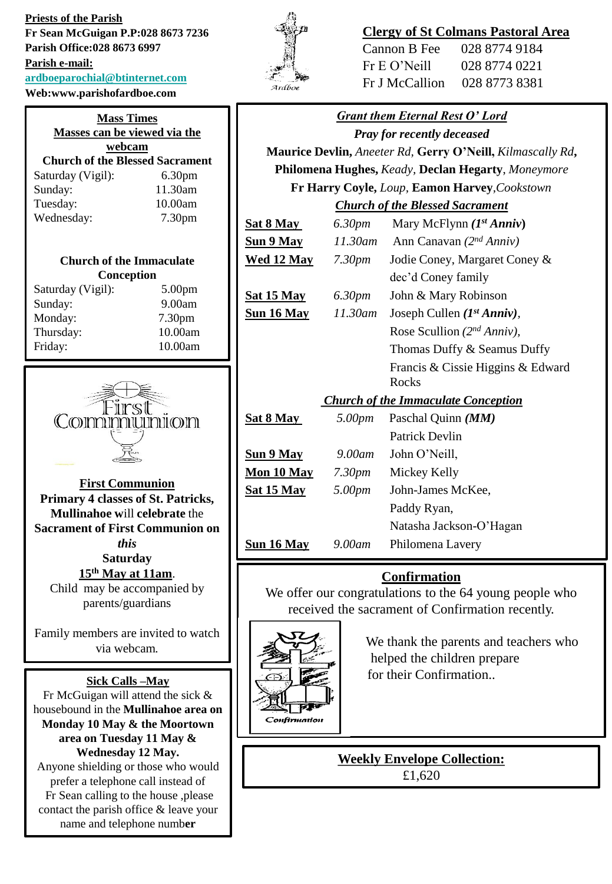**Priests of the Parish Fr Sean McGuigan P.P:028 8673 7236 Parish Office:028 8673 6997 Parish e-mail: [ardboeparochial@btinternet.com](mailto:ardboeparochial@btinternet.com)**  $Web: [www.parishofardbo](http://www.parishofardbo)$ 

| /ed:www.parisnotardboe.com             |                    |  |
|----------------------------------------|--------------------|--|
| <b>Mass Times</b>                      |                    |  |
| Masses can be viewed via the           |                    |  |
| webcam                                 |                    |  |
| <b>Church of the Blessed Sacrament</b> |                    |  |
| Saturday (Vigil):                      | 6.30 <sub>pm</sub> |  |
| Sunday:                                | 11.30am            |  |
| Tuesday:                               | 10.00am            |  |
| Wednesday:                             | 7.30 <sub>pm</sub> |  |

### **Church of the Immaculate Conception**

| 5.00 <sub>pm</sub> |
|--------------------|
| 9.00am             |
| 7.30pm             |
| 10.00am            |
| 10.00am            |
|                    |



**First Communion Primary 4 classes of St. Patricks, Mullinahoe w**ill **celebrate** the **Sacrament of First Communion on**  *this*  **Saturday 15th May at 11am**. Child may be accompanied by

parents/guardians

Family members are invited to watch via webcam*.*

### **Sick Calls –May**

Fr McGuigan will attend the sick & housebound in the **Mullinahoe area on Monday 10 May & the Moortown area on Tuesday 11 May & Wednesday 12 May.** Anyone shielding or those who would prefer a telephone call instead of Fr Sean calling to the house ,please contact the parish office & leave your name and telephone numb**er**



# **Clergy of St Colmans Pastoral Area**

Cannon B Fee 028 8774 9184 Fr E O'Neill 028 8774 0221 Fr J McCallion 028 8773 8381

| <b>Grant them Eternal Rest O' Lord</b>             |                    |                                                            |
|----------------------------------------------------|--------------------|------------------------------------------------------------|
| <b>Pray for recently deceased</b>                  |                    |                                                            |
|                                                    |                    | Maurice Devlin, Aneeter Rd, Gerry O'Neill, Kilmascally Rd, |
| Philomena Hughes, Keady, Declan Hegarty, Moneymore |                    |                                                            |
| Fr Harry Coyle, Loup, Eamon Harvey, Cookstown      |                    |                                                            |
| <b>Church of the Blessed Sacrament</b>             |                    |                                                            |
| <u>Sat 8 May </u>                                  | 6.30pm             | Mary McFlynn $(I^{st} Anniv)$                              |
| <u>Sun 9 May</u>                                   |                    | 11.30am Ann Canavan $(2^{nd} Anniv)$                       |
| <b>Wed 12 May</b> 7.30pm                           |                    | Jodie Coney, Margaret Coney &                              |
|                                                    |                    | dec'd Coney family                                         |
| <u>Sat 15 May</u>                                  | 6.30 <sub>pm</sub> | John & Mary Robinson                                       |
| <u>Sun 16 May</u>                                  | $11.30$ am         | Joseph Cullen $(I^{st} Anniv)$ ,                           |
|                                                    |                    | Rose Scullion $(2^{nd} Anniv)$ ,                           |
|                                                    |                    | Thomas Duffy & Seamus Duffy                                |
|                                                    |                    | Francis & Cissie Higgins & Edward<br>Rocks                 |
| <b>Church of the Immaculate Conception</b>         |                    |                                                            |
| <u>Sat 8 May</u>                                   | 5.00pm             | Paschal Quinn (MM)                                         |
|                                                    |                    | <b>Patrick Devlin</b>                                      |
| <u>Sun 9 May</u>                                   | $9.00$ am          | John O'Neill,                                              |
| <u>Mon 10 May</u>                                  | 7.30 <sub>pm</sub> | Mickey Kelly                                               |
| <u>Sat 15 May</u>                                  | 5.00pm             | John-James McKee,                                          |
|                                                    |                    | Paddy Ryan,                                                |
|                                                    |                    | Natasha Jackson-O'Hagan                                    |
| <u>Sun 16 May</u>                                  | 9.00am             | Philomena Lavery                                           |
|                                                    |                    |                                                            |

## **Confirmation**

We offer our congratulations to the 64 young people who received the sacrament of Confirmation recently.



We thank the parents and teachers who helped the children prepare for their Confirmation..

**Weekly Envelope Collection:** £1,620